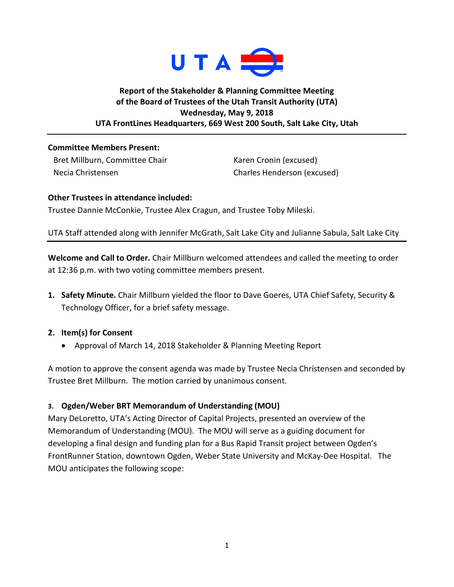

## **Report of the Stakeholder & Planning Committee Meeting of the Board of Trustees of the Utah Transit Authority (UTA) Wednesday, May 9, 2018 UTA FrontLines Headquarters, 669 West 200 South, Salt Lake City, Utah**

#### **Committee Members Present:**

Bret Millburn, Committee Chair Necia Christensen

Karen Cronin (excused) Charles Henderson (excused)

### **Other Trustees in attendance included:** Trustee Dannie McConkie, Trustee Alex Cragun, and Trustee Toby Mileski.

# UTA Staff attended along with Jennifer McGrath, Salt Lake City and Julianne Sabula, Salt Lake City

**Welcome and Call to Order.** Chair Millburn welcomed attendees and called the meeting to order at 12:36 p.m. with two voting committee members present.

**1. Safety Minute.** Chair Millburn yielded the floor to Dave Goeres, UTA Chief Safety, Security & Technology Officer, for a brief safety message.

### **2. Item(s) for Consent**

• Approval of March 14, 2018 Stakeholder & Planning Meeting Report

A motion to approve the consent agenda was made by Trustee Necia Christensen and seconded by Trustee Bret Millburn. The motion carried by unanimous consent.

## **3. Ogden/Weber BRT Memorandum of Understanding (MOU)**

Mary DeLoretto, UTA's Acting Director of Capital Projects, presented an overview of the Memorandum of Understanding (MOU). The MOU will serve as a guiding document for developing a final design and funding plan for a Bus Rapid Transit project between Ogden's FrontRunner Station, downtown Ogden, Weber State University and McKay-Dee Hospital. The MOU anticipates the following scope: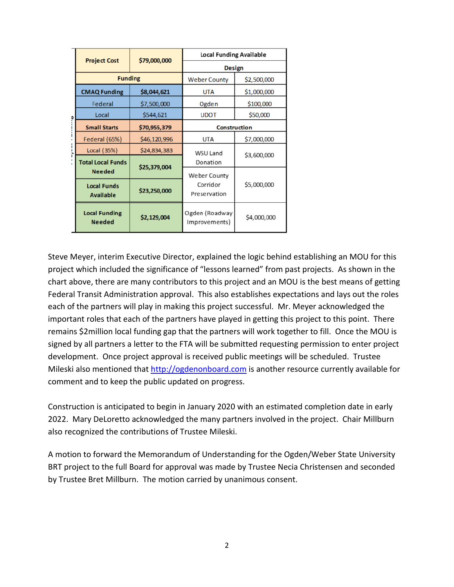| ö | <b>Project Cost</b>                   | \$79,000,000 | <b>Local Funding Available</b>           |             |
|---|---------------------------------------|--------------|------------------------------------------|-------------|
|   |                                       |              | <b>Design</b>                            |             |
|   | <b>Funding</b>                        |              | <b>Weber County</b>                      | \$2,500,000 |
|   | <b>CMAQ Funding</b>                   | \$8,044,621  | <b>UTA</b>                               | \$1,000,000 |
|   | Federal                               | \$7,500,000  | Ogden                                    | \$100,000   |
|   | Local                                 | \$544,621    | <b>UDOT</b>                              | \$50,000    |
|   | <b>Small Starts</b>                   | \$70,955,379 | <b>Construction</b>                      |             |
|   | Federal (65%)                         | \$46,120,996 | <b>UTA</b>                               | \$7,000,000 |
|   | Local (35%)                           | \$24,834,383 | WSU Land<br>Donation                     | \$3,600,000 |
|   | <b>Total Local Funds</b>              |              |                                          |             |
|   | <b>Needed</b>                         | \$25,379,004 | Weber County<br>Corridor<br>Preservation | \$5,000,000 |
|   | <b>Local Funds</b>                    | \$23,250,000 |                                          |             |
|   | <b>Available</b>                      |              |                                          |             |
|   | <b>Local Funding</b><br><b>Needed</b> | \$2,129,004  | Ogden (Roadway<br>Improvements)          | \$4,000,000 |

Steve Meyer, interim Executive Director, explained the logic behind establishing an MOU for this project which included the significance of "lessons learned" from past projects. As shown in the chart above, there are many contributors to this project and an MOU is the best means of getting Federal Transit Administration approval. This also establishes expectations and lays out the roles each of the partners will play in making this project successful. Mr. Meyer acknowledged the important roles that each of the partners have played in getting this project to this point. There remains \$2million local funding gap that the partners will work together to fill. Once the MOU is signed by all partners a letter to the FTA will be submitted requesting permission to enter project development. Once project approval is received public meetings will be scheduled. Trustee Mileski also mentioned that [http://ogdenonboard.com](http://ogdenonboard.com/) is another resource currently available for comment and to keep the public updated on progress.

Construction is anticipated to begin in January 2020 with an estimated completion date in early 2022. Mary DeLoretto acknowledged the many partners involved in the project. Chair Millburn also recognized the contributions of Trustee Mileski.

A motion to forward the Memorandum of Understanding for the Ogden/Weber State University BRT project to the full Board for approval was made by Trustee Necia Christensen and seconded by Trustee Bret Millburn. The motion carried by unanimous consent.